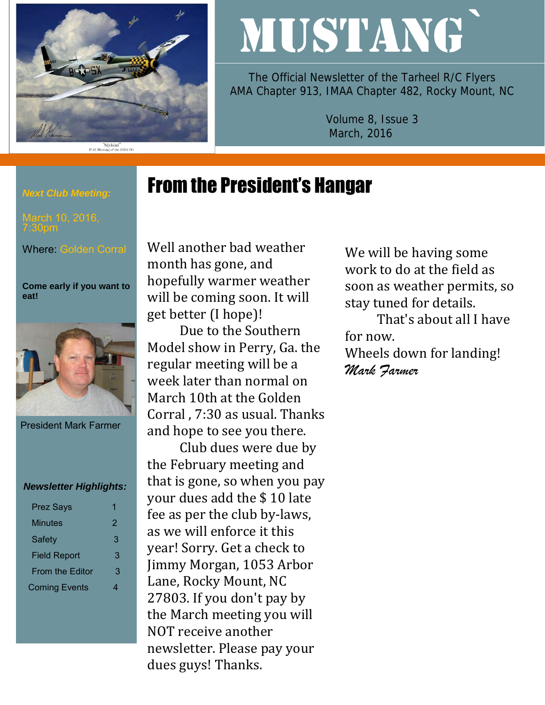

# MUSTANG`

The Official Newsletter of the Tarheel R/C Flyers AMA Chapter 913, IMAA Chapter 482, Rocky Mount, NC

> Volume 8, Issue 3 March, 2016

# From the President's Hangar

Well another bad weather month has gone, and hopefully warmer weather will be coming soon. It will get better (I hope)!

Due to the Southern Model show in Perry, Ga. the regular meeting will be a week later than normal on March 10th at the Golden Corral , 7:30 as usual. Thanks and hope to see you there.

Club dues were due by the February meeting and that is gone, so when you pay your dues add the \$ 10 late fee as per the club by-laws, as we will enforce it this year! Sorry. Get a check to Jimmy Morgan, 1053 Arbor Lane, Rocky Mount, NC 27803. If you don't pay by the March meeting you will NOT receive another newsletter. Please pay your dues guys! Thanks.

We will be having some work to do at the field as soon as weather permits, so stay tuned for details.

That's about all I have for now.

Wheels down for landing! *Mark Farmer* 

### *Next Club Meeting:*

7:30pm

Where: Golden Corral

**Come early if you want to eat!** 



President Mark Farmer

#### *Newsletter Highlights:*

| <b>Prez Says</b>       | 1 |
|------------------------|---|
| Minutes                | 2 |
| <b>Safety</b>          | 3 |
| <b>Field Report</b>    | 3 |
| <b>From the Editor</b> | 3 |
| <b>Coming Events</b>   | 4 |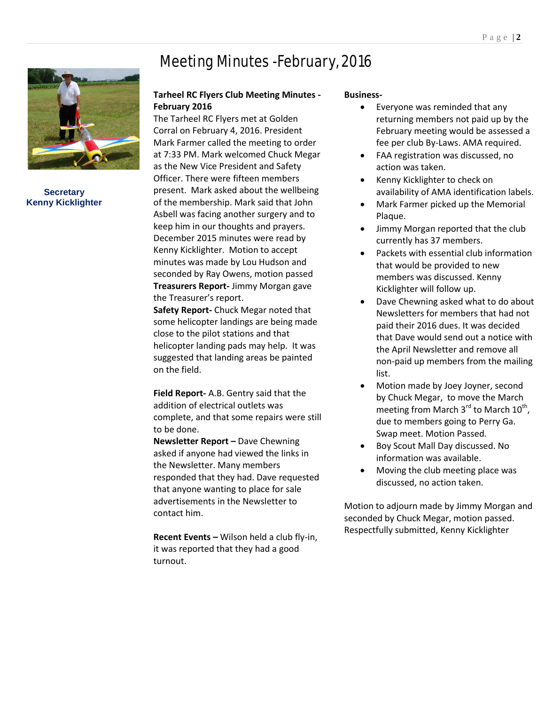**Secretary Kenny Kicklighter**

# Meeting Minutes -February, 2016

#### **Tarheel RC Flyers Club Meeting Minutes - February 2016**

The Tarheel RC Flyers met at Golden Corral on February 4, 2016. President Mark Farmer called the meeting to order at 7:33 PM. Mark welcomed Chuck Megar as the New Vice President and Safety Officer. There were fifteen members present. Mark asked about the wellbeing of the membership. Mark said that John Asbell was facing another surgery and to keep him in our thoughts and prayers. December 2015 minutes were read by Kenny Kicklighter. Motion to accept minutes was made by Lou Hudson and seconded by Ray Owens, motion passed **Treasurers Report-** Jimmy Morgan gave the Treasurer's report.

**Safety Report-** Chuck Megar noted that some helicopter landings are being made close to the pilot stations and that helicopter landing pads may help. It was suggested that landing areas be painted on the field.

**Field Report-** A.B. Gentry said that the addition of electrical outlets was complete, and that some repairs were still to be done.

**Newsletter Report –** Dave Chewning asked if anyone had viewed the links in the Newsletter. Many members responded that they had. Dave requested that anyone wanting to place for sale advertisements in the Newsletter to contact him.

**Recent Events –** Wilson held a club fly-in, it was reported that they had a good turnout.

#### **Business-**

- Everyone was reminded that any returning members not paid up by the February meeting would be assessed a fee per club By-Laws. AMA required.
- FAA registration was discussed, no action was taken.
- Kenny Kicklighter to check on availability of AMA identification labels.
- Mark Farmer picked up the Memorial Plaque.
- Jimmy Morgan reported that the club currently has 37 members.
- Packets with essential club information that would be provided to new members was discussed. Kenny Kicklighter will follow up.
- Dave Chewning asked what to do about Newsletters for members that had not paid their 2016 dues. It was decided that Dave would send out a notice with the April Newsletter and remove all non-paid up members from the mailing list.
- Motion made by Joey Joyner, second by Chuck Megar, to move the March meeting from March 3 $^{\text{rd}}$  to March 10<sup>th</sup>, due to members going to Perry Ga. Swap meet. Motion Passed.
- Boy Scout Mall Day discussed. No information was available.
- Moving the club meeting place was discussed, no action taken.

Motion to adjourn made by Jimmy Morgan and seconded by Chuck Megar, motion passed. Respectfully submitted, Kenny Kicklighter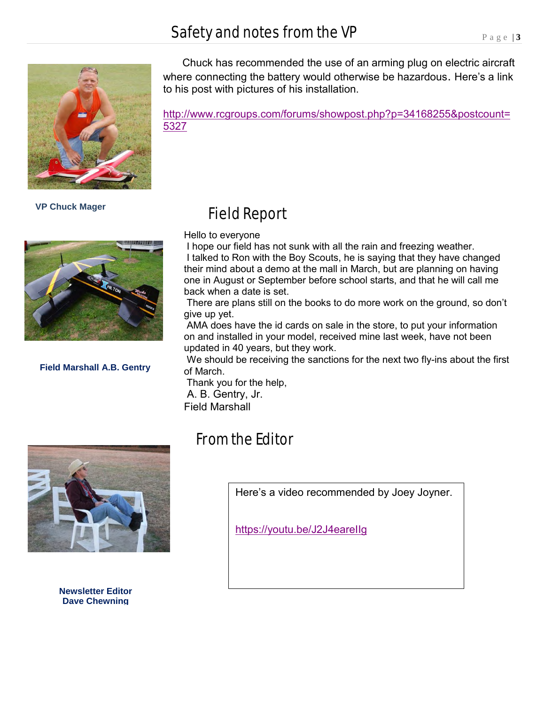## Safety and notes from the VP



 **VP Chuck Mager** 



**Field Marshall A.B. Gentry**

 Chuck has recommended the use of an arming plug on electric aircraft where connecting the battery would otherwise be hazardous. Here's a link to his post with pictures of his installation.

[http://www.rcgroups.com/forums/showpost.php?p=34168255&postcount=](http://www.rcgroups.com/forums/showpost.php?p=34168255&postcount=5327) [5327](http://www.rcgroups.com/forums/showpost.php?p=34168255&postcount=5327)

# Field Report

Hello to everyone

I hope our field has not sunk with all the rain and freezing weather. I talked to Ron with the Boy Scouts, he is saying that they have changed their mind about a demo at the mall in March, but are planning on having one in August or September before school starts, and that he will call me back when a date is set.

There are plans still on the books to do more work on the ground, so don't give up yet.

AMA does have the id cards on sale in the store, to put your information on and installed in your model, received mine last week, have not been updated in 40 years, but they work.

We should be receiving the sanctions for the next two fly-ins about the first of March.

Thank you for the help, A. B. Gentry, Jr. Field Marshall



**Newsletter Editor Dave Chewning**

# From the Editor

Here's a video recommended by Joey Joyner.

<https://youtu.be/J2J4eareIIg>